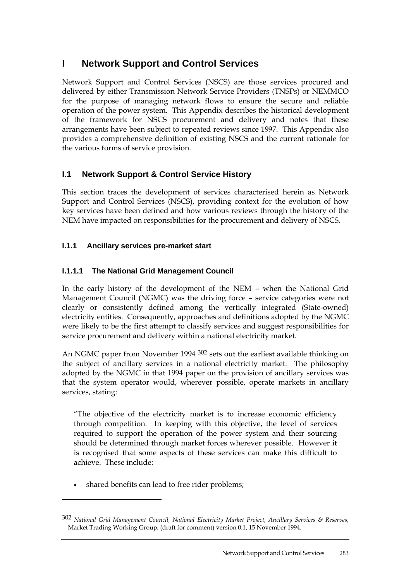# **I Network Support and Control Services**

Network Support and Control Services (NSCS) are those services procured and delivered by either Transmission Network Service Providers (TNSPs) or NEMMCO for the purpose of managing network flows to ensure the secure and reliable operation of the power system. This Appendix describes the historical development of the framework for NSCS procurement and delivery and notes that these arrangements have been subject to repeated reviews since 1997. This Appendix also provides a comprehensive definition of existing NSCS and the current rationale for the various forms of service provision.

# **I.1 Network Support & Control Service History**

This section traces the development of services characterised herein as Network Support and Control Services (NSCS), providing context for the evolution of how key services have been defined and how various reviews through the history of the NEM have impacted on responsibilities for the procurement and delivery of NSCS.

# **I.1.1 Ancillary services pre-market start**

# **I.1.1.1 The National Grid Management Council**

In the early history of the development of the NEM – when the National Grid Management Council (NGMC) was the driving force – service categories were not clearly or consistently defined among the vertically integrated (State-owned) electricity entities. Consequently, approaches and definitions adopted by the NGMC were likely to be the first attempt to classify services and suggest responsibilities for service procurement and delivery within a national electricity market.

An NGMC paper from November 1994 302 sets out the earliest available thinking on the subject of ancillary services in a national electricity market. The philosophy adopted by the NGMC in that 1994 paper on the provision of ancillary services was that the system operator would, wherever possible, operate markets in ancillary services, stating:

"The objective of the electricity market is to increase economic efficiency through competition. In keeping with this objective, the level of services required to support the operation of the power system and their sourcing should be determined through market forces wherever possible. However it is recognised that some aspects of these services can make this difficult to achieve. These include:

• shared benefits can lead to free rider problems;

<sup>302</sup> *National Grid Management Council, National Electricity Market Project, Ancillary Services & Reserves*, Market Trading Working Group, (draft for comment) version 0.1, 15 November 1994.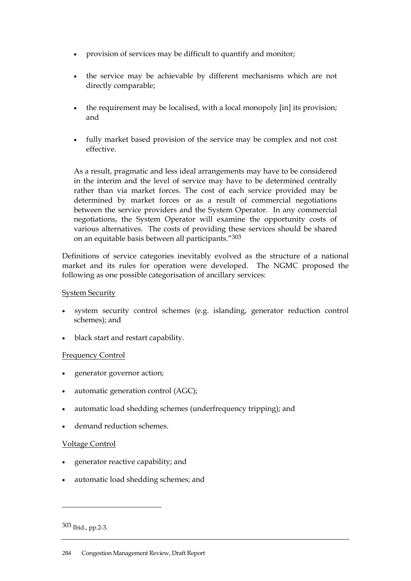- provision of services may be difficult to quantify and monitor;
- the service may be achievable by different mechanisms which are not directly comparable;
- the requirement may be localised, with a local monopoly [in] its provision; and
- fully market based provision of the service may be complex and not cost effective.

As a result, pragmatic and less ideal arrangements may have to be considered in the interim and the level of service may have to be determined centrally rather than via market forces. The cost of each service provided may be determined by market forces or as a result of commercial negotiations between the service providers and the System Operator. In any commercial negotiations, the System Operator will examine the opportunity costs of various alternatives. The costs of providing these services should be shared on an equitable basis between all participants."303

Definitions of service categories inevitably evolved as the structure of a national market and its rules for operation were developed. The NGMC proposed the following as one possible categorisation of ancillary services:

#### System Security

- system security control schemes (e.g. islanding, generator reduction control schemes); and
- black start and restart capability.

#### Frequency Control

- generator governor action;
- automatic generation control (AGC);
- automatic load shedding schemes (underfrequency tripping); and
- demand reduction schemes.

#### Voltage Control

- generator reactive capability; and
- automatic load shedding schemes; and

<sup>303</sup> Ibid., pp.2-3.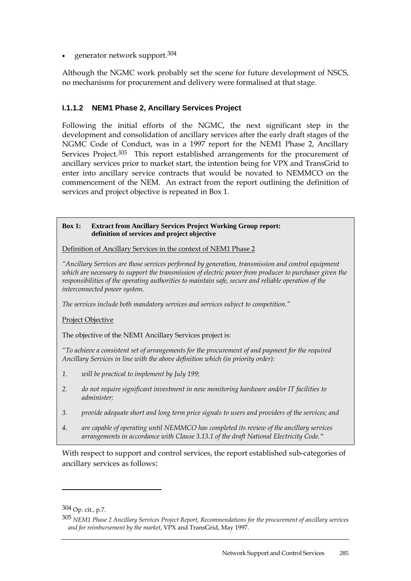• generator network support.304

Although the NGMC work probably set the scene for future development of NSCS, no mechanisms for procurement and delivery were formalised at that stage.

# **I.1.1.2 NEM1 Phase 2, Ancillary Services Project**

Following the initial efforts of the NGMC, the next significant step in the development and consolidation of ancillary services after the early draft stages of the NGMC Code of Conduct, was in a 1997 report for the NEM1 Phase 2, Ancillary Services Project.*305* This report established arrangements for the procurement of ancillary services prior to market start, the intention being for VPX and TransGrid to enter into ancillary service contracts that would be novated to NEMMCO on the commencement of the NEM. An extract from the report outlining the definition of services and project objective is repeated in Box 1.

#### **Box 1: Extract from Ancillary Services Project Working Group report: definition of services and project objective**

Definition of Ancillary Services in the context of NEM1 Phase 2

*"Ancillary Services are those services performed by generation, transmission and control equipment which are necessary to support the transmission of electric power from producer to purchaser given the responsibilities of the operating authorities to maintain safe, secure and reliable operation of the interconnected power system.* 

*The services include both mandatory services and services subject to competition."* 

Project Objective

The objective of the NEM1 Ancillary Services project is:

*"To achieve a consistent set of arrangements for the procurement of and payment for the required Ancillary Services in line with the above definition which (in priority order):* 

- *1. will be practical to implement by July 199;*
- *2. do not require significant investment in new monitoring hardware and/or IT facilities to administer;*
- *3. provide adequate short and long term price signals to users and providers of the services; and*
- *4. are capable of operating until NEMMCO has completed its review of the ancillary services arrangements in accordance with Clause 3.13.1 of the draft National Electricity Code."*

With respect to support and control services, the report established sub-categories of ancillary services as follows:

<sup>304</sup> Op. cit., p.7.

<sup>305</sup> *NEM1 Phase 2 Ancillary Services Project Report, Recommendations for the procurement of ancillary services and for reimbursement by the market*, VPX and TransGrid, May 1997.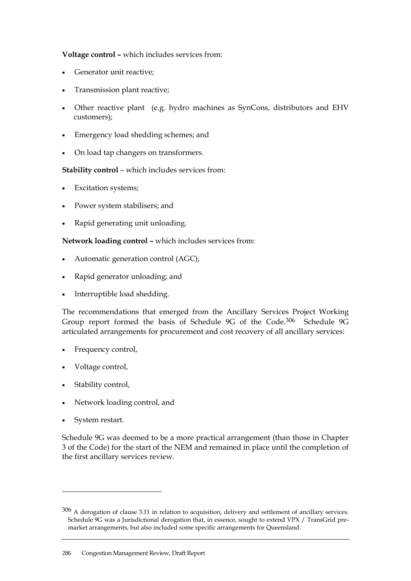#### **Voltage control –** which includes services from:

- Generator unit reactive;
- Transmission plant reactive;
- Other reactive plant (e.g. hydro machines as SynCons, distributors and EHV customers);
- Emergency load shedding schemes; and
- On load tap changers on transformers.

#### **Stability control** – which includes services from:

- Excitation systems;
- Power system stabilisers; and
- Rapid generating unit unloading.

#### **Network loading control –** which includes services from:

- Automatic generation control (AGC);
- Rapid generator unloading; and
- Interruptible load shedding.

The recommendations that emerged from the Ancillary Services Project Working Group report formed the basis of Schedule 9G of the Code.306 Schedule 9G articulated arrangements for procurement and cost recovery of all ancillary services:

- Frequency control,
- Voltage control,
- Stability control,
- Network loading control, and
- System restart.

 $\overline{a}$ 

Schedule 9G was deemed to be a more practical arrangement (than those in Chapter 3 of the Code) for the start of the NEM and remained in place until the completion of the first ancillary services review.

<sup>306</sup> A derogation of clause 3.11 in relation to acquisition, delivery and settlement of ancillary services. Schedule 9G was a Jurisdictional derogation that, in essence, sought to extend VPX / TransGrid premarket arrangements, but also included some specific arrangements for Queensland.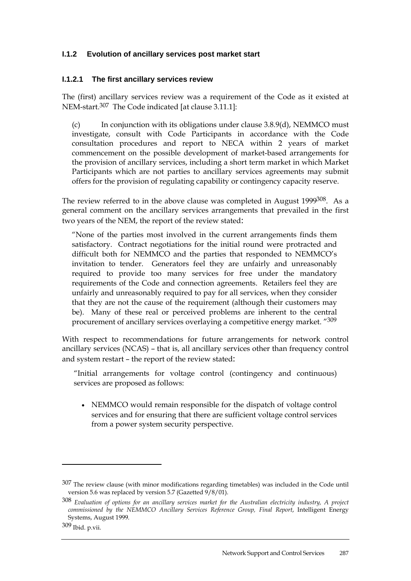## **I.1.2 Evolution of ancillary services post market start**

#### **I.1.2.1 The first ancillary services review**

The (first) ancillary services review was a requirement of the Code as it existed at NEM-start.307 The Code indicated [at clause 3.11.1]:

(c) In conjunction with its obligations under clause  $3.8.9(d)$ , NEMMCO must investigate, consult with Code Participants in accordance with the Code consultation procedures and report to NECA within 2 years of market commencement on the possible development of market-based arrangements for the provision of ancillary services, including a short term market in which Market Participants which are not parties to ancillary services agreements may submit offers for the provision of regulating capability or contingency capacity reserve.

The review referred to in the above clause was completed in August 1999<sup>308</sup>. As a general comment on the ancillary services arrangements that prevailed in the first two years of the NEM, the report of the review stated:

"None of the parties most involved in the current arrangements finds them satisfactory. Contract negotiations for the initial round were protracted and difficult both for NEMMCO and the parties that responded to NEMMCO's invitation to tender. Generators feel they are unfairly and unreasonably required to provide too many services for free under the mandatory requirements of the Code and connection agreements. Retailers feel they are unfairly and unreasonably required to pay for all services, when they consider that they are not the cause of the requirement (although their customers may be). Many of these real or perceived problems are inherent to the central procurement of ancillary services overlaying a competitive energy market. "309

With respect to recommendations for future arrangements for network control ancillary services (NCAS) – that is, all ancillary services other than frequency control and system restart – the report of the review stated:

"Initial arrangements for voltage control (contingency and continuous) services are proposed as follows:

• NEMMCO would remain responsible for the dispatch of voltage control services and for ensuring that there are sufficient voltage control services from a power system security perspective.

<sup>307</sup> The review clause (with minor modifications regarding timetables) was included in the Code until version 5.6 was replaced by version 5.7 (Gazetted 9/8/01).

<sup>308</sup> *Evaluation of options for an ancillary services market for the Australian electricity industry, A project commissioned by the NEMMCO Ancillary Services Reference Group, Final Report*, Intelligent Energy Systems, August 1999.

<sup>309</sup> Ibid. p.vii.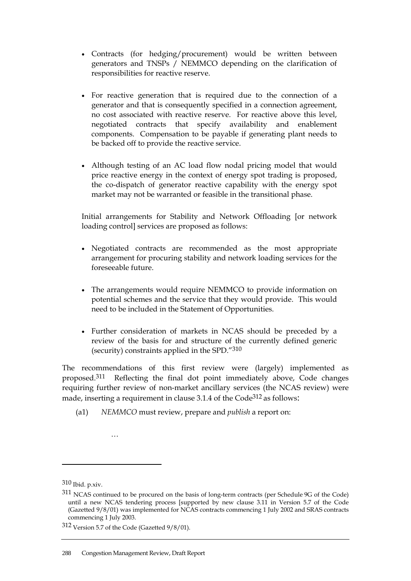- Contracts (for hedging/procurement) would be written between generators and TNSPs / NEMMCO depending on the clarification of responsibilities for reactive reserve.
- For reactive generation that is required due to the connection of a generator and that is consequently specified in a connection agreement, no cost associated with reactive reserve. For reactive above this level, negotiated contracts that specify availability and enablement components. Compensation to be payable if generating plant needs to be backed off to provide the reactive service.
- Although testing of an AC load flow nodal pricing model that would price reactive energy in the context of energy spot trading is proposed, the co-dispatch of generator reactive capability with the energy spot market may not be warranted or feasible in the transitional phase.

Initial arrangements for Stability and Network Offloading [or network loading control] services are proposed as follows:

- Negotiated contracts are recommended as the most appropriate arrangement for procuring stability and network loading services for the foreseeable future.
- The arrangements would require NEMMCO to provide information on potential schemes and the service that they would provide. This would need to be included in the Statement of Opportunities.
- Further consideration of markets in NCAS should be preceded by a review of the basis for and structure of the currently defined generic (security) constraints applied in the SPD."310

The recommendations of this first review were (largely) implemented as proposed.311 Reflecting the final dot point immediately above, Code changes requiring further review of non-market ancillary services (the NCAS review) were made, inserting a requirement in clause 3.1.4 of the Code<sup>312</sup> as follows:

(a1) *NEMMCO* must review, prepare and *publish* a report on:

 $\overline{a}$ 

…

<sup>310</sup> Ibid. p.xiv.

<sup>311</sup> NCAS continued to be procured on the basis of long-term contracts (per Schedule 9G of the Code) until a new NCAS tendering process [supported by new clause 3.11 in Version 5.7 of the Code (Gazetted 9/8/01) was implemented for NCAS contracts commencing 1 July 2002 and SRAS contracts commencing 1 July 2003.

<sup>312</sup> Version 5.7 of the Code (Gazetted 9/8/01).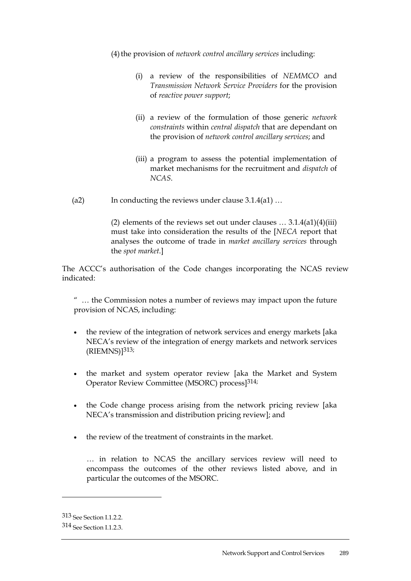(4) the provision of *network control ancillary services* including:

- (i) a review of the responsibilities of *NEMMCO* and *Transmission Network Service Providers* for the provision of *reactive power support*;
- (ii) a review of the formulation of those generic *network constraints* within *central dispatch* that are dependant on the provision of *network control ancillary services*; and
- (iii) a program to assess the potential implementation of market mechanisms for the recruitment and *dispatch* of *NCAS*.
- (a2) In conducting the reviews under clause 3.1.4(a1) …

(2) elements of the reviews set out under clauses  $\dots$  3.1.4(a1)(4)(iii) must take into consideration the results of the [*NECA* report that analyses the outcome of trade in *market ancillary services* through the *spot market*.]

The ACCC's authorisation of the Code changes incorporating the NCAS review indicated:

" … the Commission notes a number of reviews may impact upon the future provision of NCAS, including:

- the review of the integration of network services and energy markets [aka] NECA's review of the integration of energy markets and network services (RIEMNS)]313;
- the market and system operator review [aka the Market and System Operator Review Committee (MSORC) process]314;
- the Code change process arising from the network pricing review [aka] NECA's transmission and distribution pricing review]; and
- the review of the treatment of constraints in the market.

… in relation to NCAS the ancillary services review will need to encompass the outcomes of the other reviews listed above, and in particular the outcomes of the MSORC.

<sup>313</sup> See Section I.1.2.2.

<sup>314</sup> See Section I.1.2.3.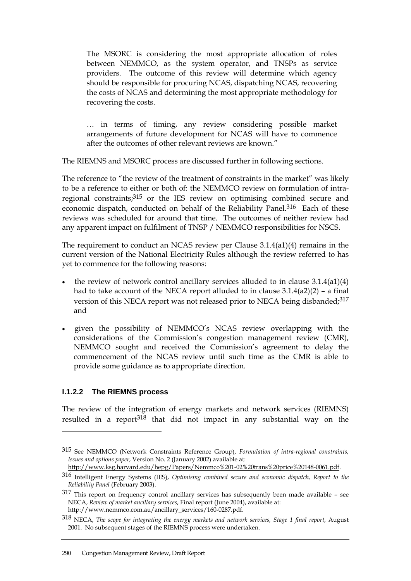The MSORC is considering the most appropriate allocation of roles between NEMMCO, as the system operator, and TNSPs as service providers. The outcome of this review will determine which agency should be responsible for procuring NCAS, dispatching NCAS, recovering the costs of NCAS and determining the most appropriate methodology for recovering the costs.

… in terms of timing, any review considering possible market arrangements of future development for NCAS will have to commence after the outcomes of other relevant reviews are known."

The RIEMNS and MSORC process are discussed further in following sections.

The reference to "the review of the treatment of constraints in the market" was likely to be a reference to either or both of: the NEMMCO review on formulation of intraregional constraints;<sup>315</sup> or the IES review on optimising combined secure and economic dispatch, conducted on behalf of the Reliability Panel.<sup>316</sup> Each of these reviews was scheduled for around that time. The outcomes of neither review had any apparent impact on fulfilment of TNSP / NEMMCO responsibilities for NSCS.

The requirement to conduct an NCAS review per Clause 3.1.4(a1)(4) remains in the current version of the National Electricity Rules although the review referred to has yet to commence for the following reasons:

- the review of network control ancillary services alluded to in clause  $3.1.4(a1)(4)$ had to take account of the NECA report alluded to in clause  $3.1.4(a2)(2)$  – a final version of this NECA report was not released prior to NECA being disbanded;<sup>317</sup> and
- given the possibility of NEMMCO's NCAS review overlapping with the considerations of the Commission's congestion management review (CMR), NEMMCO sought and received the Commission's agreement to delay the commencement of the NCAS review until such time as the CMR is able to provide some guidance as to appropriate direction.

### **I.1.2.2 The RIEMNS process**

 $\overline{a}$ 

The review of the integration of energy markets and network services (RIEMNS) resulted in a report<sup>318</sup> that did not impact in any substantial way on the

<sup>315</sup> See NEMMCO (Network Constraints Reference Group), *Formulation of intra-regional constraints, Issues and options paper*, Version No. 2 (January 2002) available at:

http://www.ksg.harvard.edu/hepg/Papers/Nemmco%201-02%20trans%20price%20148-0061.pdf.

<sup>316</sup> Intelligent Energy Systems (IES), *Optimising combined secure and economic dispatch, Report to the Reliability Panel* (February 2003).

<sup>317</sup> This report on frequency control ancillary services has subsequently been made available – see NECA, *Review of market ancillary services*, Final report (June 2004), available at: http://www.nemmco.com.au/ancillary\_services/160-0287.pdf.

<sup>318</sup> NECA, *The scope for integrating the energy markets and network services, Stage 1 final report*, August 2001. No subsequent stages of the RIEMNS process were undertaken.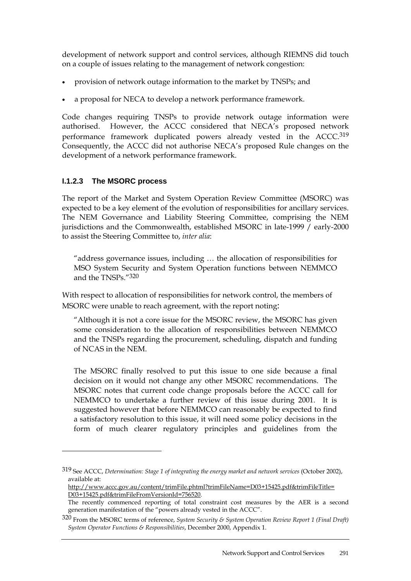development of network support and control services, although RIEMNS did touch on a couple of issues relating to the management of network congestion:

- provision of network outage information to the market by TNSPs; and
- a proposal for NECA to develop a network performance framework.

Code changes requiring TNSPs to provide network outage information were authorised. However, the ACCC considered that NECA's proposed network performance framework duplicated powers already vested in the ACCC.<sup>319</sup> Consequently, the ACCC did not authorise NECA's proposed Rule changes on the development of a network performance framework.

# **I.1.2.3 The MSORC process**

 $\overline{a}$ 

The report of the Market and System Operation Review Committee (MSORC) was expected to be a key element of the evolution of responsibilities for ancillary services. The NEM Governance and Liability Steering Committee, comprising the NEM jurisdictions and the Commonwealth, established MSORC in late-1999 / early-2000 to assist the Steering Committee to, *inter alia*:

"address governance issues, including … the allocation of responsibilities for MSO System Security and System Operation functions between NEMMCO and the TNSPs "320

With respect to allocation of responsibilities for network control, the members of MSORC were unable to reach agreement, with the report noting:

"Although it is not a core issue for the MSORC review, the MSORC has given some consideration to the allocation of responsibilities between NEMMCO and the TNSPs regarding the procurement, scheduling, dispatch and funding of NCAS in the NEM.

The MSORC finally resolved to put this issue to one side because a final decision on it would not change any other MSORC recommendations. The MSORC notes that current code change proposals before the ACCC call for NEMMCO to undertake a further review of this issue during 2001. It is suggested however that before NEMMCO can reasonably be expected to find a satisfactory resolution to this issue, it will need some policy decisions in the form of much clearer regulatory principles and guidelines from the

<sup>319</sup> See ACCC, *Determination: Stage 1 of integrating the energy market and network services* (October 2002), available at:

http://www.accc.gov.au/content/trimFile.phtml?trimFileName=D03+15425.pdf&trimFileTitle= D03+15425.pdf&trimFileFromVersionId=756520.

The recently commenced reporting of total constraint cost measures by the AER is a second generation manifestation of the "powers already vested in the ACCC".

<sup>320</sup> From the MSORC terms of reference, *System Security & System Operation Review Report 1 (Final Draft) System Operator Functions & Responsibilities*, December 2000, Appendix 1.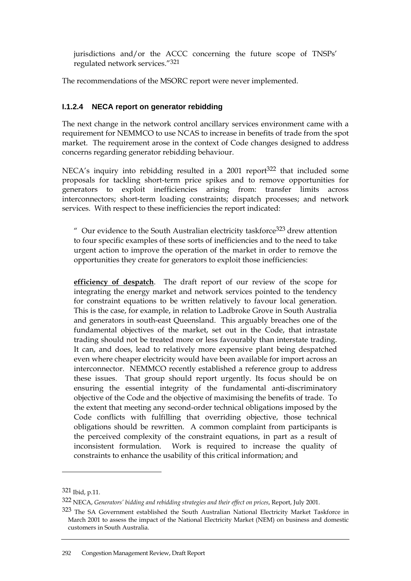jurisdictions and/or the ACCC concerning the future scope of TNSPs' regulated network services."321

The recommendations of the MSORC report were never implemented.

### **I.1.2.4 NECA report on generator rebidding**

The next change in the network control ancillary services environment came with a requirement for NEMMCO to use NCAS to increase in benefits of trade from the spot market. The requirement arose in the context of Code changes designed to address concerns regarding generator rebidding behaviour.

NECA's inquiry into rebidding resulted in a 2001 report<sup>322</sup> that included some proposals for tackling short-term price spikes and to remove opportunities for generators to exploit inefficiencies arising from: transfer limits across interconnectors; short-term loading constraints; dispatch processes; and network services. With respect to these inefficiencies the report indicated:

" Our evidence to the South Australian electricity taskforce<sup>323</sup> drew attention to four specific examples of these sorts of inefficiencies and to the need to take urgent action to improve the operation of the market in order to remove the opportunities they create for generators to exploit those inefficiencies:

**efficiency of despatch**. The draft report of our review of the scope for integrating the energy market and network services pointed to the tendency for constraint equations to be written relatively to favour local generation. This is the case, for example, in relation to Ladbroke Grove in South Australia and generators in south-east Queensland. This arguably breaches one of the fundamental objectives of the market, set out in the Code, that intrastate trading should not be treated more or less favourably than interstate trading. It can, and does, lead to relatively more expensive plant being despatched even where cheaper electricity would have been available for import across an interconnector. NEMMCO recently established a reference group to address these issues. That group should report urgently. Its focus should be on ensuring the essential integrity of the fundamental anti-discriminatory objective of the Code and the objective of maximising the benefits of trade. To the extent that meeting any second-order technical obligations imposed by the Code conflicts with fulfilling that overriding objective, those technical obligations should be rewritten. A common complaint from participants is the perceived complexity of the constraint equations, in part as a result of inconsistent formulation. Work is required to increase the quality of constraints to enhance the usability of this critical information; and

<sup>321</sup> Ibid, p.11.

<sup>322</sup> NECA, *Generators' bidding and rebidding strategies and their effect on prices*, Report, July 2001.

<sup>323</sup> The SA Government established the South Australian National Electricity Market Taskforce in March 2001 to assess the impact of the National Electricity Market (NEM) on business and domestic customers in South Australia.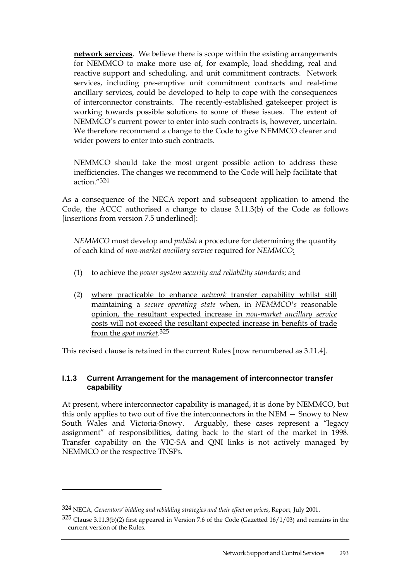**network services**. We believe there is scope within the existing arrangements for NEMMCO to make more use of, for example, load shedding, real and reactive support and scheduling, and unit commitment contracts. Network services, including pre-emptive unit commitment contracts and real-time ancillary services, could be developed to help to cope with the consequences of interconnector constraints.The recently-established gatekeeper project is working towards possible solutions to some of these issues. The extent of NEMMCO's current power to enter into such contracts is, however, uncertain. We therefore recommend a change to the Code to give NEMMCO clearer and wider powers to enter into such contracts.

NEMMCO should take the most urgent possible action to address these inefficiencies. The changes we recommend to the Code will help facilitate that action."324

As a consequence of the NECA report and subsequent application to amend the Code, the ACCC authorised a change to clause 3.11.3(b) of the Code as follows [insertions from version 7.5 underlined]:

*NEMMCO* must develop and *publish* a procedure for determining the quantity of each kind of *non-market ancillary service* required for *NEMMCO*:

- (1) to achieve the *power system security and reliability standards*; and
- (2) where practicable to enhance *network* transfer capability whilst still maintaining a *secure operating state* when, in *NEMMCO's* reasonable opinion, the resultant expected increase in *non-market ancillary service* costs will not exceed the resultant expected increase in benefits of trade from the *spot market*. 325

This revised clause is retained in the current Rules [now renumbered as 3.11.4].

#### **I.1.3 Current Arrangement for the management of interconnector transfer capability**

At present, where interconnector capability is managed, it is done by NEMMCO, but this only applies to two out of five the interconnectors in the NEM — Snowy to New South Wales and Victoria-Snowy. Arguably, these cases represent a "legacy assignment" of responsibilities, dating back to the start of the market in 1998. Transfer capability on the VIC-SA and QNI links is not actively managed by NEMMCO or the respective TNSPs.

<sup>324</sup> NECA, *Generators' bidding and rebidding strategies and their effect on prices*, Report, July 2001.

<sup>325</sup> Clause 3.11.3(b)(2) first appeared in Version 7.6 of the Code (Gazetted 16/1/03) and remains in the current version of the Rules.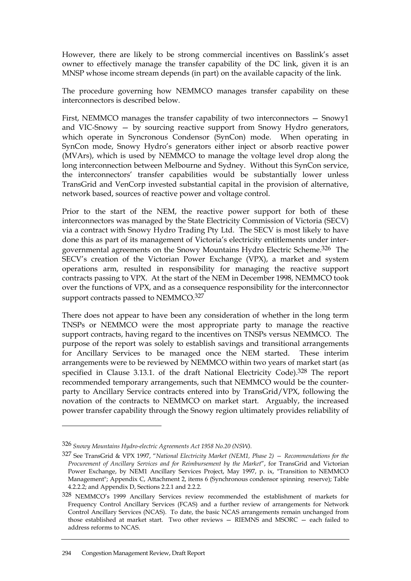However, there are likely to be strong commercial incentives on Basslink's asset owner to effectively manage the transfer capability of the DC link, given it is an MNSP whose income stream depends (in part) on the available capacity of the link.

The procedure governing how NEMMCO manages transfer capability on these interconnectors is described below.

First, NEMMCO manages the transfer capability of two interconnectors — Snowy1 and VIC-Snowy — by sourcing reactive support from Snowy Hydro generators, which operate in Syncronous Condensor (SynCon) mode. When operating in SynCon mode, Snowy Hydro's generators either inject or absorb reactive power (MVArs), which is used by NEMMCO to manage the voltage level drop along the long interconnection between Melbourne and Sydney. Without this SynCon service, the interconnectors' transfer capabilities would be substantially lower unless TransGrid and VenCorp invested substantial capital in the provision of alternative, network based, sources of reactive power and voltage control.

Prior to the start of the NEM, the reactive power support for both of these interconnectors was managed by the State Electricity Commission of Victoria (SECV) via a contract with Snowy Hydro Trading Pty Ltd. The SECV is most likely to have done this as part of its management of Victoria's electricity entitlements under intergovernmental agreements on the Snowy Mountains Hydro Electric Scheme.326 The SECV's creation of the Victorian Power Exchange (VPX), a market and system operations arm, resulted in responsibility for managing the reactive support contracts passing to VPX. At the start of the NEM in December 1998, NEMMCO took over the functions of VPX, and as a consequence responsibility for the interconnector support contracts passed to NEMMCO.<sup>327</sup>

There does not appear to have been any consideration of whether in the long term TNSPs or NEMMCO were the most appropriate party to manage the reactive support contracts, having regard to the incentives on TNSPs versus NEMMCO. The purpose of the report was solely to establish savings and transitional arrangements for Ancillary Services to be managed once the NEM started. These interim arrangements were to be reviewed by NEMMCO within two years of market start (as specified in Clause 3.13.1. of the draft National Electricity Code).<sup>328</sup> The report recommended temporary arrangements, such that NEMMCO would be the counterparty to Ancillary Service contracts entered into by TransGrid/VPX, following the novation of the contracts to NEMMCO on market start. Arguably, the increased power transfer capability through the Snowy region ultimately provides reliability of

<sup>326</sup> *Snowy Mountains Hydro-electric Agreements Act 1958 No.20 (NSW).*

<sup>327</sup> See TransGrid & VPX 1997, "*National Electricity Market (NEM1, Phase 2) — Recommendations for the Procurement of Ancillary Services and for Reimbursement by the Market*", for TransGrid and Victorian Power Exchange, by NEM1 Ancillary Services Project, May 1997, p. ix, "Transition to NEMMCO Management"; Appendix C, Attachment 2, items 6 (Synchronous condensor spinning reserve); Table 4.2.2.2; and Appendix D, Sections 2.2.1 and 2.2.2.

<sup>328</sup> NEMMCO's 1999 Ancillary Services review recommended the establishment of markets for Frequency Control Ancillary Services (FCAS) and a further review of arrangements for Network Control Ancillary Services (NCAS). To date, the basic NCAS arrangements remain unchanged from those established at market start. Two other reviews — RIEMNS and MSORC — each failed to address reforms to NCAS.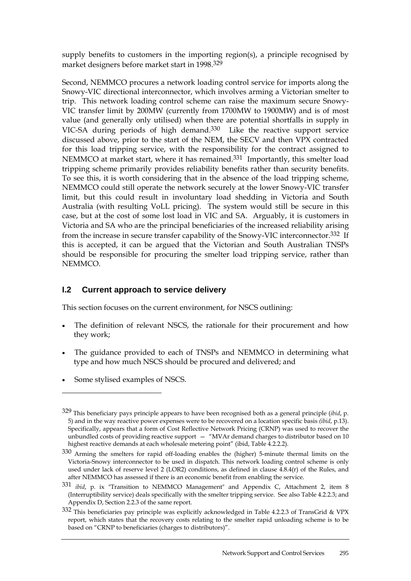supply benefits to customers in the importing region(s), a principle recognised by market designers before market start in 1998.329

Second, NEMMCO procures a network loading control service for imports along the Snowy-VIC directional interconnector, which involves arming a Victorian smelter to trip. This network loading control scheme can raise the maximum secure Snowy-VIC transfer limit by 200MW (currently from 1700MW to 1900MW) and is of most value (and generally only utilised) when there are potential shortfalls in supply in VIC-SA during periods of high demand.330 Like the reactive support service discussed above, prior to the start of the NEM, the SECV and then VPX contracted for this load tripping service, with the responsibility for the contract assigned to NEMMCO at market start, where it has remained.<sup>331</sup> Importantly, this smelter load tripping scheme primarily provides reliability benefits rather than security benefits. To see this, it is worth considering that in the absence of the load tripping scheme, NEMMCO could still operate the network securely at the lower Snowy-VIC transfer limit, but this could result in involuntary load shedding in Victoria and South Australia (with resulting VoLL pricing). The system would still be secure in this case, but at the cost of some lost load in VIC and SA. Arguably, it is customers in Victoria and SA who are the principal beneficiaries of the increased reliability arising from the increase in secure transfer capability of the Snowy-VIC interconnector.332 If this is accepted, it can be argued that the Victorian and South Australian TNSPs should be responsible for procuring the smelter load tripping service, rather than NEMMCO.

# **I.2 Current approach to service delivery**

This section focuses on the current environment, for NSCS outlining:

- The definition of relevant NSCS, the rationale for their procurement and how they work;
- The guidance provided to each of TNSPs and NEMMCO in determining what type and how much NSCS should be procured and delivered; and
- Some stylised examples of NSCS.

<sup>329</sup> This beneficiary pays principle appears to have been recognised both as a general principle (*ibid*, p. 5) and in the way reactive power expenses were to be recovered on a location specific basis *(ibid*, p.13). Specifically, appears that a form of Cost Reflective Network Pricing (CRNP) was used to recover the unbundled costs of providing reactive support  $-$  "MVAr demand charges to distributor based on 10 highest reactive demands at each wholesale metering point" (ibid, Table 4.2.2.2).

<sup>330</sup> Arming the smelters for rapid off-loading enables the (higher) 5-minute thermal limits on the Victoria-Snowy interconnector to be used in dispatch. This network loading control scheme is only used under lack of reserve level 2 (LOR2) conditions, as defined in clause 4.8.4(r) of the Rules, and after NEMMCO has assessed if there is an economic benefit from enabling the service.

<sup>331</sup> *ibid*, p. ix "Transition to NEMMCO Management" and Appendix C, Attachment 2, item 8 (Interruptibility service) deals specifically with the smelter tripping service. See also Table 4.2.2.3; and Appendix D, Section 2.2.3 of the same report.

<sup>332</sup> This beneficiaries pay principle was explicitly acknowledged in Table 4.2.2.3 of TransGrid & VPX report, which states that the recovery costs relating to the smelter rapid unloading scheme is to be based on "CRNP to beneficiaries (charges to distributors)".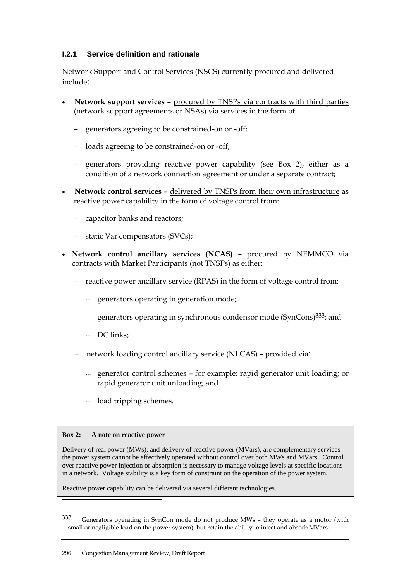#### **I.2.1 Service definition and rationale**

Network Support and Control Services (NSCS) currently procured and delivered include:

- **Network support services** procured by TNSPs via contracts with third parties (network support agreements or NSAs) via services in the form of:
	- generators agreeing to be constrained-on or -off;
	- loads agreeing to be constrained-on or -off;
	- generators providing reactive power capability (see Box 2), either as a condition of a network connection agreement or under a separate contract;
- **Network control services** delivered by TNSPs from their own infrastructure as reactive power capability in the form of voltage control from:
	- capacitor banks and reactors;
	- static Var compensators (SVCs);
- **Network control ancillary services (NCAS)** procured by NEMMCO via contracts with Market Participants (not TNSPs) as either:
	- reactive power ancillary service (RPAS) in the form of voltage control from:
		- ... generators operating in generation mode;
		- ... generators operating in synchronous condensor mode  $(SynCons)$ <sup>333</sup>; and
		- $\ldots$  DC links:
	- network loading control ancillary service (NLCAS) provided via:
		- <sup>L</sup> generator control schemes for example: rapid generator unit loading; or rapid generator unit unloading; and
		- $\ldots$  load tripping schemes.

#### **Box 2: A note on reactive power**

 $\overline{a}$ 

Delivery of real power (MWs), and delivery of reactive power (MVars), are complementary services – the power system cannot be effectively operated without control over both MWs and MVars. Control over reactive power injection or absorption is necessary to manage voltage levels at specific locations in a network. Voltage stability is a key form of constraint on the operation of the power system.

Reactive power capability can be delivered via several different technologies.

333 Generators operating in SynCon mode do not produce MWs – they operate as a motor (with small or negligible load on the power system), but retain the ability to inject and absorb MVars.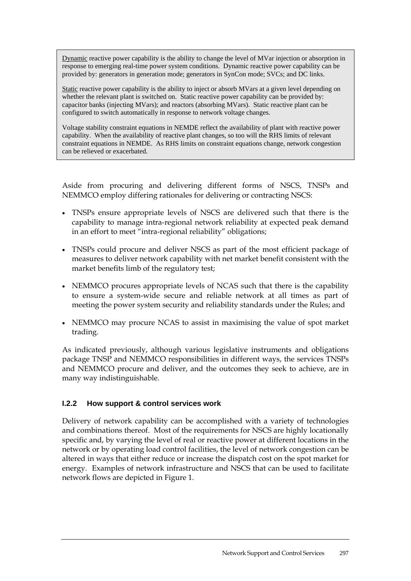Dynamic reactive power capability is the ability to change the level of MVar injection or absorption in response to emerging real-time power system conditions. Dynamic reactive power capability can be provided by: generators in generation mode; generators in SynCon mode; SVCs; and DC links.

Static reactive power capability is the ability to inject or absorb MVars at a given level depending on whether the relevant plant is switched on. Static reactive power capability can be provided by: capacitor banks (injecting MVars); and reactors (absorbing MVars). Static reactive plant can be configured to switch automatically in response to network voltage changes.

Voltage stability constraint equations in NEMDE reflect the availability of plant with reactive power capability. When the availability of reactive plant changes, so too will the RHS limits of relevant constraint equations in NEMDE. As RHS limits on constraint equations change, network congestion can be relieved or exacerbated.

Aside from procuring and delivering different forms of NSCS, TNSPs and NEMMCO employ differing rationales for delivering or contracting NSCS:

- TNSPs ensure appropriate levels of NSCS are delivered such that there is the capability to manage intra-regional network reliability at expected peak demand in an effort to meet "intra-regional reliability" obligations;
- TNSPs could procure and deliver NSCS as part of the most efficient package of measures to deliver network capability with net market benefit consistent with the market benefits limb of the regulatory test;
- NEMMCO procures appropriate levels of NCAS such that there is the capability to ensure a system-wide secure and reliable network at all times as part of meeting the power system security and reliability standards under the Rules; and
- NEMMCO may procure NCAS to assist in maximising the value of spot market trading.

As indicated previously, although various legislative instruments and obligations package TNSP and NEMMCO responsibilities in different ways, the services TNSPs and NEMMCO procure and deliver, and the outcomes they seek to achieve, are in many way indistinguishable.

### **I.2.2 How support & control services work**

Delivery of network capability can be accomplished with a variety of technologies and combinations thereof. Most of the requirements for NSCS are highly locationally specific and, by varying the level of real or reactive power at different locations in the network or by operating load control facilities, the level of network congestion can be altered in ways that either reduce or increase the dispatch cost on the spot market for energy. Examples of network infrastructure and NSCS that can be used to facilitate network flows are depicted in Figure 1.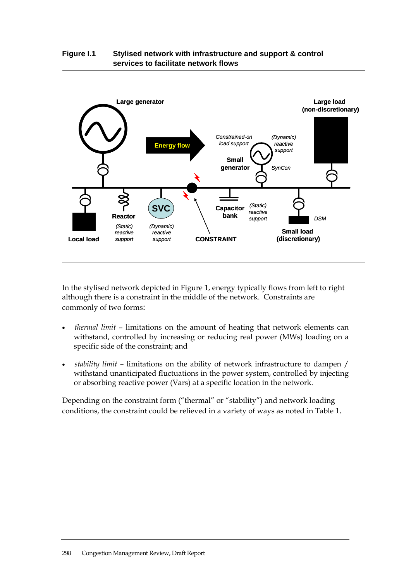### **Figure I.1 Stylised network with infrastructure and support & control services to facilitate network flows**



In the stylised network depicted in Figure 1, energy typically flows from left to right although there is a constraint in the middle of the network. Constraints are commonly of two forms:

- *thermal limit* limitations on the amount of heating that network elements can withstand, controlled by increasing or reducing real power (MWs) loading on a specific side of the constraint; and
- *stability limit* limitations on the ability of network infrastructure to dampen / withstand unanticipated fluctuations in the power system, controlled by injecting or absorbing reactive power (Vars) at a specific location in the network.

Depending on the constraint form ("thermal" or "stability") and network loading conditions, the constraint could be relieved in a variety of ways as noted in Table 1.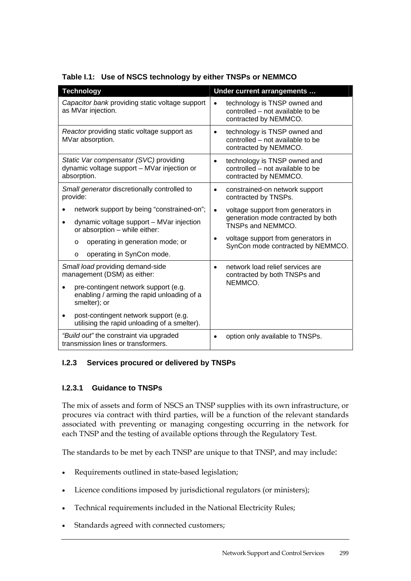**Table I.1: Use of NSCS technology by either TNSPs or NEMMCO** 

| <b>Technology</b>                                                                                               | Under current arrangements                                                                                        |
|-----------------------------------------------------------------------------------------------------------------|-------------------------------------------------------------------------------------------------------------------|
| Capacitor bank providing static voltage support<br>as MVar injection.                                           | technology is TNSP owned and<br>$\bullet$<br>controlled - not available to be<br>contracted by NEMMCO.            |
| Reactor providing static voltage support as<br>MVar absorption.                                                 | technology is TNSP owned and<br>$\bullet$<br>controlled - not available to be<br>contracted by NEMMCO.            |
| Static Var compensator (SVC) providing<br>dynamic voltage support - MVar injection or<br>absorption.            | technology is TNSP owned and<br>$\bullet$<br>controlled – not available to be<br>contracted by NEMMCO.            |
| Small generator discretionally controlled to<br>provide:                                                        | constrained-on network support<br>$\bullet$<br>contracted by TNSPs.                                               |
| network support by being "constrained-on";                                                                      | voltage support from generators in<br>$\bullet$<br>generation mode contracted by both<br><b>TNSPs and NEMMCO.</b> |
| dynamic voltage support - MVar injection<br>$\bullet$<br>or absorption - while either:                          |                                                                                                                   |
| operating in generation mode; or<br>$\circ$                                                                     | voltage support from generators in<br>$\bullet$<br>SynCon mode contracted by NEMMCO.                              |
| operating in SynCon mode.<br>$\circ$                                                                            |                                                                                                                   |
| Small load providing demand-side<br>management (DSM) as either:                                                 | network load relief services are<br>$\bullet$<br>contracted by both TNSPs and<br>NEMMCO.                          |
| pre-contingent network support (e.g.<br>$\bullet$<br>enabling / arming the rapid unloading of a<br>smelter); or |                                                                                                                   |
| post-contingent network support (e.g.<br>$\bullet$<br>utilising the rapid unloading of a smelter).              |                                                                                                                   |
| "Build out" the constraint via upgraded<br>transmission lines or transformers.                                  | option only available to TNSPs.<br>$\bullet$                                                                      |

# **I.2.3 Services procured or delivered by TNSPs**

### **I.2.3.1 Guidance to TNSPs**

The mix of assets and form of NSCS an TNSP supplies with its own infrastructure, or procures via contract with third parties, will be a function of the relevant standards associated with preventing or managing congesting occurring in the network for each TNSP and the testing of available options through the Regulatory Test.

The standards to be met by each TNSP are unique to that TNSP, and may include:

- Requirements outlined in state-based legislation;
- Licence conditions imposed by jurisdictional regulators (or ministers);
- Technical requirements included in the National Electricity Rules;
- Standards agreed with connected customers;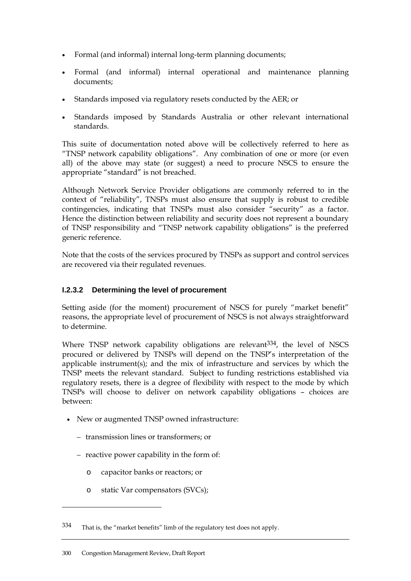- Formal (and informal) internal long-term planning documents;
- Formal (and informal) internal operational and maintenance planning documents;
- Standards imposed via regulatory resets conducted by the AER; or
- Standards imposed by Standards Australia or other relevant international standards.

This suite of documentation noted above will be collectively referred to here as "TNSP network capability obligations". Any combination of one or more (or even all) of the above may state (or suggest) a need to procure NSCS to ensure the appropriate "standard" is not breached.

Although Network Service Provider obligations are commonly referred to in the context of "reliability", TNSPs must also ensure that supply is robust to credible contingencies, indicating that TNSPs must also consider "security" as a factor. Hence the distinction between reliability and security does not represent a boundary of TNSP responsibility and "TNSP network capability obligations" is the preferred generic reference.

Note that the costs of the services procured by TNSPs as support and control services are recovered via their regulated revenues.

# **I.2.3.2 Determining the level of procurement**

Setting aside (for the moment) procurement of NSCS for purely "market benefit" reasons, the appropriate level of procurement of NSCS is not always straightforward to determine.

Where TNSP network capability obligations are relevant<sup>334</sup>, the level of NSCS procured or delivered by TNSPs will depend on the TNSP's interpretation of the applicable instrument(s); and the mix of infrastructure and services by which the TNSP meets the relevant standard. Subject to funding restrictions established via regulatory resets, there is a degree of flexibility with respect to the mode by which TNSPs will choose to deliver on network capability obligations – choices are between:

- New or augmented TNSP owned infrastructure:
	- transmission lines or transformers; or
	- reactive power capability in the form of:
		- o capacitor banks or reactors; or
		- o static Var compensators (SVCs);

<sup>334</sup> That is, the "market benefits" limb of the regulatory test does not apply.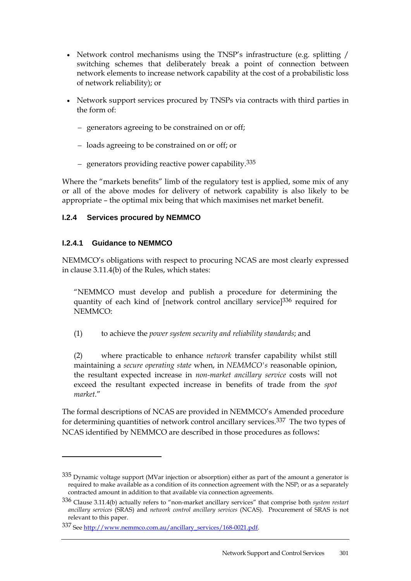- Network control mechanisms using the TNSP's infrastructure (e.g. splitting / switching schemes that deliberately break a point of connection between network elements to increase network capability at the cost of a probabilistic loss of network reliability); or
- Network support services procured by TNSPs via contracts with third parties in the form of:
	- generators agreeing to be constrained on or off;
	- loads agreeing to be constrained on or off; or
	- generators providing reactive power capability.335

Where the "markets benefits" limb of the regulatory test is applied, some mix of any or all of the above modes for delivery of network capability is also likely to be appropriate – the optimal mix being that which maximises net market benefit.

# **I.2.4 Services procured by NEMMCO**

# **I.2.4.1 Guidance to NEMMCO**

 $\overline{a}$ 

NEMMCO's obligations with respect to procuring NCAS are most clearly expressed in clause 3.11.4(b) of the Rules, which states:

"NEMMCO must develop and publish a procedure for determining the quantity of each kind of [network control ancillary service]336 required for NEMMCO:

(1) to achieve the *power system security and reliability standards*; and

(2) where practicable to enhance *network* transfer capability whilst still maintaining a *secure operating state* when, in *NEMMCO's* reasonable opinion, the resultant expected increase in *non-market ancillary service* costs will not exceed the resultant expected increase in benefits of trade from the *spot market*."

The formal descriptions of NCAS are provided in NEMMCO's Amended procedure for determining quantities of network control ancillary services.337 The two types of NCAS identified by NEMMCO are described in those procedures as follows:

<sup>335</sup> Dynamic voltage support (MVar injection or absorption) either as part of the amount a generator is required to make available as a condition of its connection agreement with the NSP; or as a separately contracted amount in addition to that available via connection agreements.

<sup>336</sup> Clause 3.11.4(b) actually refers to "non-market ancillary services" that comprise both *system restart ancillary services* (SRAS) and *network control ancillary services* (NCAS). Procurement of SRAS is not relevant to this paper.

<sup>337</sup> See http://www.nemmco.com.au/ancillary\_services/168-0021.pdf.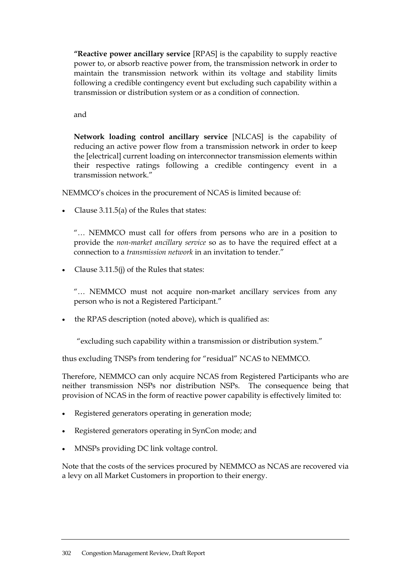**"Reactive power ancillary service** [RPAS] is the capability to supply reactive power to, or absorb reactive power from, the transmission network in order to maintain the transmission network within its voltage and stability limits following a credible contingency event but excluding such capability within a transmission or distribution system or as a condition of connection.

and

**Network loading control ancillary service** [NLCAS] is the capability of reducing an active power flow from a transmission network in order to keep the [electrical] current loading on interconnector transmission elements within their respective ratings following a credible contingency event in a transmission network."

NEMMCO's choices in the procurement of NCAS is limited because of:

• Clause 3.11.5(a) of the Rules that states:

"… NEMMCO must call for offers from persons who are in a position to provide the *non-market ancillary service* so as to have the required effect at a connection to a *transmission network* in an invitation to tender."

• Clause 3.11.5(j) of the Rules that states:

"… NEMMCO must not acquire non-market ancillary services from any person who is not a Registered Participant."

• the RPAS description (noted above), which is qualified as:

"excluding such capability within a transmission or distribution system."

thus excluding TNSPs from tendering for "residual" NCAS to NEMMCO.

Therefore, NEMMCO can only acquire NCAS from Registered Participants who are neither transmission NSPs nor distribution NSPs. The consequence being that provision of NCAS in the form of reactive power capability is effectively limited to:

- Registered generators operating in generation mode;
- Registered generators operating in SynCon mode; and
- MNSPs providing DC link voltage control.

Note that the costs of the services procured by NEMMCO as NCAS are recovered via a levy on all Market Customers in proportion to their energy.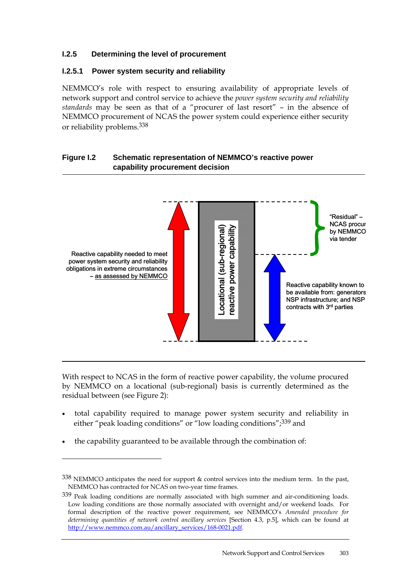# **I.2.5 Determining the level of procurement**

### **I.2.5.1 Power system security and reliability**

NEMMCO's role with respect to ensuring availability of appropriate levels of network support and control service to achieve the *power system security and reliability standards* may be seen as that of a "procurer of last resort" – in the absence of NEMMCO procurement of NCAS the power system could experience either security or reliability problems.338

#### **Figure I.2 Schematic representation of NEMMCO's reactive power capability procurement decision**



With respect to NCAS in the form of reactive power capability, the volume procured by NEMMCO on a locational (sub-regional) basis is currently determined as the residual between (see Figure 2):

- total capability required to manage power system security and reliability in either "peak loading conditions" or "low loading conditions";339 and
- the capability guaranteed to be available through the combination of:

<sup>338</sup> NEMMCO anticipates the need for support & control services into the medium term. In the past, NEMMCO has contracted for NCAS on two-year time frames.

<sup>339</sup> Peak loading conditions are normally associated with high summer and air-conditioning loads. Low loading conditions are those normally associated with overnight and/or weekend loads. For formal description of the reactive power requirement, see NEMMCO's *Amended procedure for determining quantities of network control ancillary services* [Section 4.3, p.5], which can be found at http://www.nemmco.com.au/ancillary\_services/168-0021.pdf.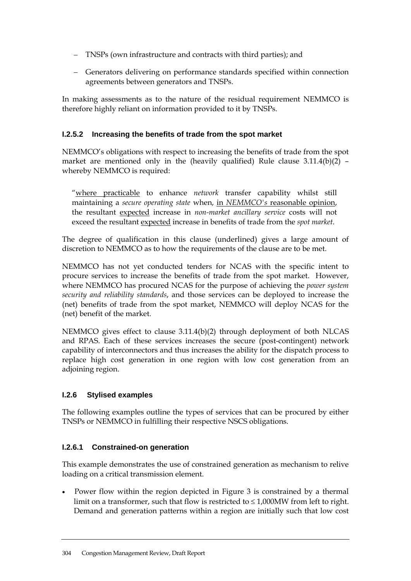- TNSPs (own infrastructure and contracts with third parties); and
- Generators delivering on performance standards specified within connection agreements between generators and TNSPs.

In making assessments as to the nature of the residual requirement NEMMCO is therefore highly reliant on information provided to it by TNSPs.

## **I.2.5.2 Increasing the benefits of trade from the spot market**

NEMMCO's obligations with respect to increasing the benefits of trade from the spot market are mentioned only in the (heavily qualified) Rule clause  $3.11.4(b)(2)$  – whereby NEMMCO is required:

"where practicable to enhance *network* transfer capability whilst still maintaining a *secure operating state* when, in *NEMMCO's* reasonable opinion, the resultant expected increase in *non-market ancillary service* costs will not exceed the resultant expected increase in benefits of trade from the *spot market*.

The degree of qualification in this clause (underlined) gives a large amount of discretion to NEMMCO as to how the requirements of the clause are to be met.

NEMMCO has not yet conducted tenders for NCAS with the specific intent to procure services to increase the benefits of trade from the spot market. However, where NEMMCO has procured NCAS for the purpose of achieving the *power system security and reliability standards*, and those services can be deployed to increase the (net) benefits of trade from the spot market, NEMMCO will deploy NCAS for the (net) benefit of the market.

NEMMCO gives effect to clause 3.11.4(b)(2) through deployment of both NLCAS and RPAS. Each of these services increases the secure (post-contingent) network capability of interconnectors and thus increases the ability for the dispatch process to replace high cost generation in one region with low cost generation from an adjoining region.

### **I.2.6 Stylised examples**

The following examples outline the types of services that can be procured by either TNSPs or NEMMCO in fulfilling their respective NSCS obligations.

# **I.2.6.1 Constrained-on generation**

This example demonstrates the use of constrained generation as mechanism to relive loading on a critical transmission element.

• Power flow within the region depicted in Figure 3 is constrained by a thermal limit on a transformer, such that flow is restricted to ≤ 1,000MW from left to right. Demand and generation patterns within a region are initially such that low cost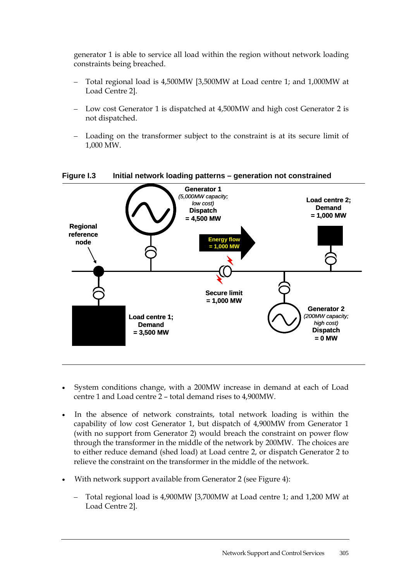generator 1 is able to service all load within the region without network loading constraints being breached.

- Total regional load is 4,500MW [3,500MW at Load centre 1; and 1,000MW at Load Centre 2].
- Low cost Generator 1 is dispatched at 4,500MW and high cost Generator 2 is not dispatched.
- Loading on the transformer subject to the constraint is at its secure limit of 1,000 MW.



#### Figure I.3 Initial network loading patterns – generation not constrained

- System conditions change, with a 200MW increase in demand at each of Load centre 1 and Load centre 2 – total demand rises to 4,900MW.
- In the absence of network constraints, total network loading is within the capability of low cost Generator 1, but dispatch of 4,900MW from Generator 1 (with no support from Generator 2) would breach the constraint on power flow through the transformer in the middle of the network by 200MW. The choices are to either reduce demand (shed load) at Load centre 2, or dispatch Generator 2 to relieve the constraint on the transformer in the middle of the network.
- With network support available from Generator 2 (see Figure 4):
	- Total regional load is 4,900MW [3,700MW at Load centre 1; and 1,200 MW at Load Centre 2].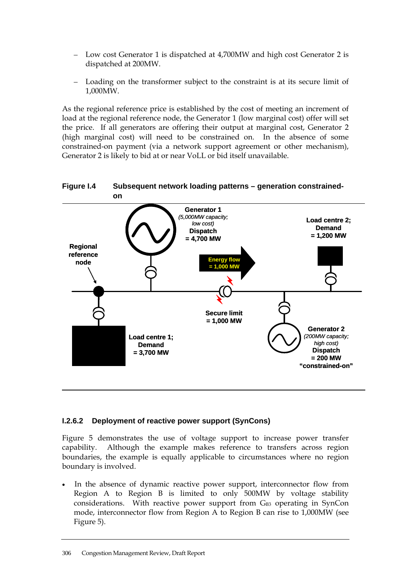- Low cost Generator 1 is dispatched at 4,700MW and high cost Generator 2 is dispatched at 200MW.
- Loading on the transformer subject to the constraint is at its secure limit of 1,000MW.

As the regional reference price is established by the cost of meeting an increment of load at the regional reference node, the Generator 1 (low marginal cost) offer will set the price. If all generators are offering their output at marginal cost, Generator 2 (high marginal cost) will need to be constrained on. In the absence of some constrained-on payment (via a network support agreement or other mechanism), Generator 2 is likely to bid at or near VoLL or bid itself unavailable.





### **I.2.6.2 Deployment of reactive power support (SynCons)**

Figure 5 demonstrates the use of voltage support to increase power transfer capability. Although the example makes reference to transfers across region boundaries, the example is equally applicable to circumstances where no region boundary is involved.

• In the absence of dynamic reactive power support, interconnector flow from Region A to Region B is limited to only 500MW by voltage stability considerations. With reactive power support from  $G_{B3}$  operating in SynCon mode, interconnector flow from Region A to Region B can rise to 1,000MW (see Figure 5).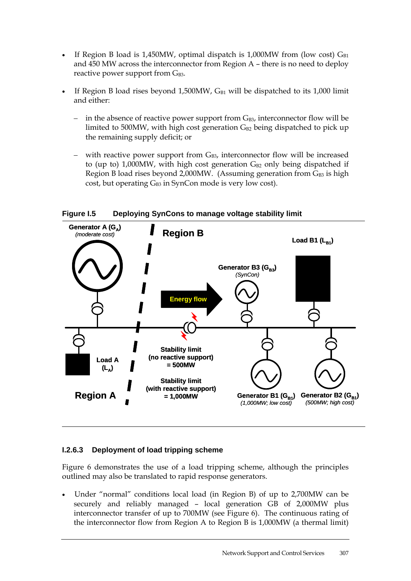- If Region B load is 1,450MW, optimal dispatch is 1,000MW from (low cost)  $G_{B1}$ and 450 MW across the interconnector from Region A – there is no need to deploy reactive power support from  $G_{B3}$ .
- If Region B load rises beyond  $1,500MW$ ,  $G_{B1}$  will be dispatched to its 1,000 limit and either:
	- in the absence of reactive power support from  $G_{B3}$ , interconnector flow will be limited to 500MW, with high cost generation  $G_{B2}$  being dispatched to pick up the remaining supply deficit; or
	- with reactive power support from  $G_{B3}$ , interconnector flow will be increased to (up to) 1,000MW, with high cost generation  $G_{B2}$  only being dispatched if Region B load rises beyond 2,000MW. (Assuming generation from  $G_{B3}$  is high cost, but operating  $G_{B3}$  in SynCon mode is very low cost).

**Figure I.5 Deploying SynCons to manage voltage stability limit** 



### **I.2.6.3 Deployment of load tripping scheme**

Figure 6 demonstrates the use of a load tripping scheme, although the principles outlined may also be translated to rapid response generators.

• Under "normal" conditions local load (in Region B) of up to 2,700MW can be securely and reliably managed – local generation GB of 2,000MW plus interconnector transfer of up to 700MW (see Figure 6). The continuous rating of the interconnector flow from Region A to Region B is 1,000MW (a thermal limit)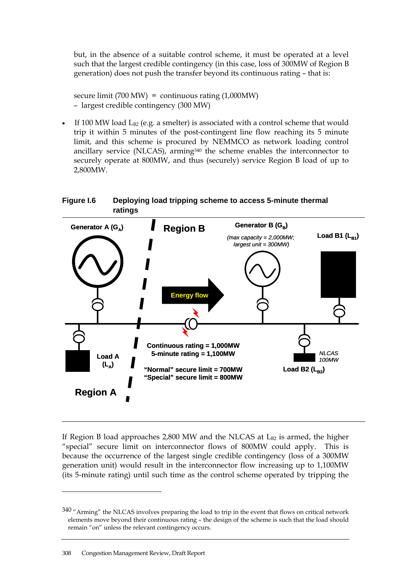but, in the absence of a suitable control scheme, it must be operated at a level such that the largest credible contingency (in this case, loss of 300MW of Region B generation) does not push the transfer beyond its continuous rating – that is:

secure limit (700 MW) = continuous rating (1,000MW) – largest credible contingency (300 MW)

If 100 MW load  $L_{B2}$  (e.g. a smelter) is associated with a control scheme that would trip it within 5 minutes of the post-contingent line flow reaching its 5 minute limit, and this scheme is procured by NEMMCO as network loading control ancillary service (NLCAS), arming340 the scheme enables the interconnector to securely operate at 800MW, and thus (securely) service Region B load of up to 2,800MW.



**100MW Load A** 5-minute rating = 1,100MW<br>  $\frac{1}{100M}$  100MW

**"Normal" secure limit = 700MW "Special" secure limit = 800MW** Load B2 (L<sub>B2</sub>)

*NLCAS*

**Figure I.6 Deploying load tripping scheme to access 5-minute thermal** 

If Region B load approaches 2,800 MW and the NLCAS at  $L_{B2}$  is armed, the higher "special" secure limit on interconnector flows of 800MW could apply. This is because the occurrence of the largest single credible contingency (loss of a 300MW generation unit) would result in the interconnector flow increasing up to 1,100MW (its 5-minute rating) until such time as the control scheme operated by tripping the

**(LA)**

**Region A**

<sup>340 &</sup>quot;Arming" the NLCAS involves preparing the load to trip in the event that flows on critical network elements move beyond their continuous rating – the design of the scheme is such that the load should remain "on" unless the relevant contingency occurs.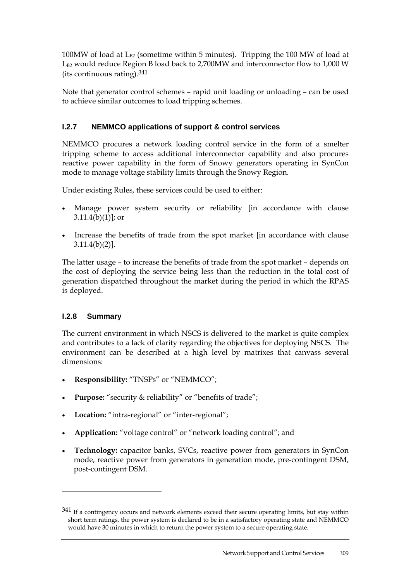100MW of load at  $L_{B2}$  (sometime within 5 minutes). Tripping the 100 MW of load at L<sub>B2</sub> would reduce Region B load back to 2,700MW and interconnector flow to 1,000 W (its continuous rating).  $341$ 

Note that generator control schemes – rapid unit loading or unloading – can be used to achieve similar outcomes to load tripping schemes.

# **I.2.7 NEMMCO applications of support & control services**

NEMMCO procures a network loading control service in the form of a smelter tripping scheme to access additional interconnector capability and also procures reactive power capability in the form of Snowy generators operating in SynCon mode to manage voltage stability limits through the Snowy Region.

Under existing Rules, these services could be used to either:

- Manage power system security or reliability [in accordance with clause  $3.11.4(b)(1)$ ; or
- Increase the benefits of trade from the spot market [in accordance with clause  $3.11.4(b)(2)$ ].

The latter usage – to increase the benefits of trade from the spot market – depends on the cost of deploying the service being less than the reduction in the total cost of generation dispatched throughout the market during the period in which the RPAS is deployed.

### **I.2.8 Summary**

 $\overline{a}$ 

The current environment in which NSCS is delivered to the market is quite complex and contributes to a lack of clarity regarding the objectives for deploying NSCS. The environment can be described at a high level by matrixes that canvass several dimensions:

- **Responsibility:** "TNSPs" or "NEMMCO";
- **Purpose:** "security & reliability" or "benefits of trade";
- **Location:** "intra-regional" or "inter-regional";
- **Application:** "voltage control" or "network loading control"; and
- **Technology:** capacitor banks, SVCs, reactive power from generators in SynCon mode, reactive power from generators in generation mode, pre-contingent DSM, post-contingent DSM.

<sup>&</sup>lt;sup>341</sup> If a contingency occurs and network elements exceed their secure operating limits, but stay within short term ratings, the power system is declared to be in a satisfactory operating state and NEMMCO would have 30 minutes in which to return the power system to a secure operating state.